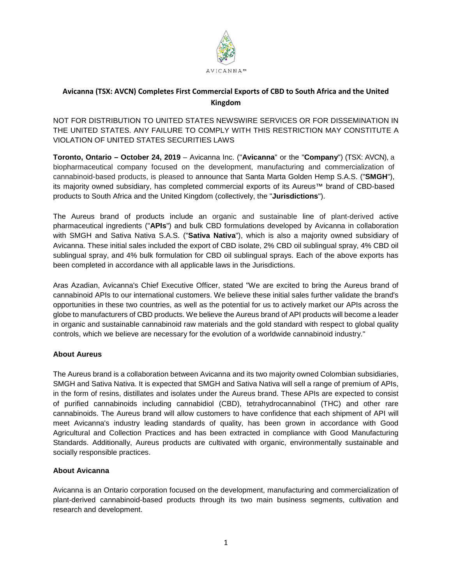

# **Avicanna (TSX: AVCN) Completes First Commercial Exports of CBD to South Africa and the United Kingdom**

NOT FOR DISTRIBUTION TO UNITED STATES NEWSWIRE SERVICES OR FOR DISSEMINATION IN THE UNITED STATES. ANY FAILURE TO COMPLY WITH THIS RESTRICTION MAY CONSTITUTE A VIOLATION OF UNITED STATES SECURITIES LAWS

**Toronto, Ontario – October 24, 2019** – Avicanna Inc. ("**Avicanna**" or the "**Company**") (TSX: AVCN), a biopharmaceutical company focused on the development, manufacturing and commercialization of cannabinoid-based products, is pleased to announce that Santa Marta Golden Hemp S.A.S. ("**SMGH**"), its majority owned subsidiary, has completed commercial exports of its Aureus™ brand of CBD-based products to South Africa and the United Kingdom (collectively, the "**Jurisdictions**").

The Aureus brand of products include an organic and sustainable line of plant-derived active pharmaceutical ingredients ("**APIs**") and bulk CBD formulations developed by Avicanna in collaboration with SMGH and Sativa Nativa S.A.S. ("**Sativa Nativa**"), which is also a majority owned subsidiary of Avicanna. These initial sales included the export of CBD isolate, 2% CBD oil sublingual spray, 4% CBD oil sublingual spray, and 4% bulk formulation for CBD oil sublingual sprays. Each of the above exports has been completed in accordance with all applicable laws in the Jurisdictions.

Aras Azadian, Avicanna's Chief Executive Officer, stated "We are excited to bring the Aureus brand of cannabinoid APIs to our international customers. We believe these initial sales further validate the brand's opportunities in these two countries, as well as the potential for us to actively market our APIs across the globe to manufacturers of CBD products. We believe the Aureus brand of API products will become a leader in organic and sustainable cannabinoid raw materials and the gold standard with respect to global quality controls, which we believe are necessary for the evolution of a worldwide cannabinoid industry."

# **About Aureus**

The Aureus brand is a collaboration between Avicanna and its two majority owned Colombian subsidiaries, SMGH and Sativa Nativa. It is expected that SMGH and Sativa Nativa will sell a range of premium of APIs, in the form of resins, distillates and isolates under the Aureus brand. These APIs are expected to consist of purified cannabinoids including cannabidiol (CBD), tetrahydrocannabinol (THC) and other rare cannabinoids. The Aureus brand will allow customers to have confidence that each shipment of API will meet Avicanna's industry leading standards of quality, has been grown in accordance with Good Agricultural and Collection Practices and has been extracted in compliance with Good Manufacturing Standards. Additionally, Aureus products are cultivated with organic, environmentally sustainable and socially responsible practices.

# **About Avicanna**

Avicanna is an Ontario corporation focused on the development, manufacturing and commercialization of plant-derived cannabinoid-based products through its two main business segments, cultivation and research and development.